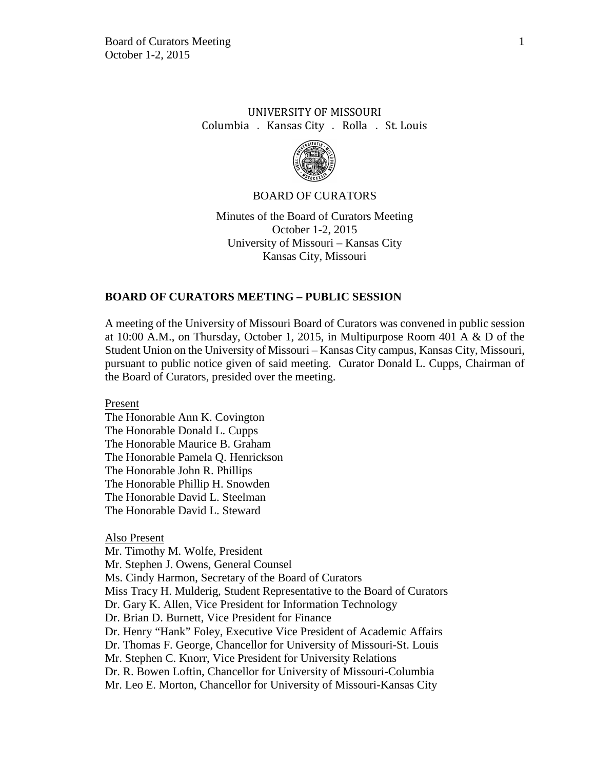# UNIVERSITY OF MISSOURI Columbia . Kansas City . Rolla . St. Louis



### BOARD OF CURATORS

Minutes of the Board of Curators Meeting October 1-2, 2015 University of Missouri – Kansas City Kansas City, Missouri

## **BOARD OF CURATORS MEETING – PUBLIC SESSION**

A meeting of the University of Missouri Board of Curators was convened in public session at 10:00 A.M., on Thursday, October 1, 2015, in Multipurpose Room 401 A & D of the Student Union on the University of Missouri – Kansas City campus, Kansas City, Missouri, pursuant to public notice given of said meeting. Curator Donald L. Cupps, Chairman of the Board of Curators, presided over the meeting.

Present

The Honorable Ann K. Covington The Honorable Donald L. Cupps The Honorable Maurice B. Graham The Honorable Pamela Q. Henrickson The Honorable John R. Phillips The Honorable Phillip H. Snowden The Honorable David L. Steelman The Honorable David L. Steward

#### Also Present

Mr. Timothy M. Wolfe, President Mr. Stephen J. Owens, General Counsel Ms. Cindy Harmon, Secretary of the Board of Curators Miss Tracy H. Mulderig, Student Representative to the Board of Curators Dr. Gary K. Allen, Vice President for Information Technology Dr. Brian D. Burnett, Vice President for Finance Dr. Henry "Hank" Foley, Executive Vice President of Academic Affairs Dr. Thomas F. George, Chancellor for University of Missouri-St. Louis Mr. Stephen C. Knorr, Vice President for University Relations Dr. R. Bowen Loftin, Chancellor for University of Missouri-Columbia Mr. Leo E. Morton, Chancellor for University of Missouri-Kansas City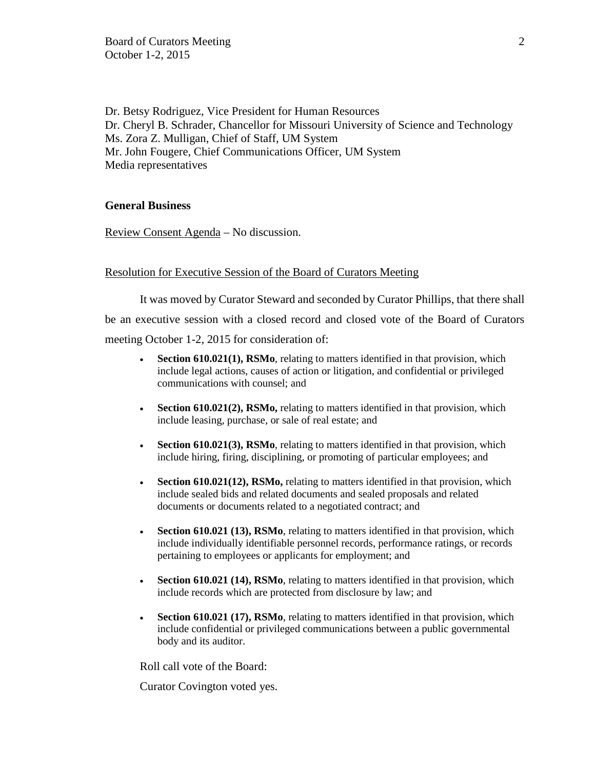Dr. Betsy Rodriguez, Vice President for Human Resources Dr. Cheryl B. Schrader, Chancellor for Missouri University of Science and Technology Ms. Zora Z. Mulligan, Chief of Staff, UM System Mr. John Fougere, Chief Communications Officer, UM System Media representatives

# **General Business**

Review Consent Agenda – No discussion.

# Resolution for Executive Session of the Board of Curators Meeting

It was moved by Curator Steward and seconded by Curator Phillips, that there shall be an executive session with a closed record and closed vote of the Board of Curators meeting October 1-2, 2015 for consideration of:

- **Section 610.021(1), RSMo**, relating to matters identified in that provision, which include legal actions, causes of action or litigation, and confidential or privileged communications with counsel; and
- **Section 610.021(2), RSMo,** relating to matters identified in that provision, which include leasing, purchase, or sale of real estate; and
- **Section 610.021(3), RSMo**, relating to matters identified in that provision, which include hiring, firing, disciplining, or promoting of particular employees; and
- **Section 610.021(12), RSMo,** relating to matters identified in that provision, which include sealed bids and related documents and sealed proposals and related documents or documents related to a negotiated contract; and
- **Section 610.021 (13), RSMo**, relating to matters identified in that provision, which include individually identifiable personnel records, performance ratings, or records pertaining to employees or applicants for employment; and
- **Section 610.021 (14), RSMo**, relating to matters identified in that provision, which include records which are protected from disclosure by law; and
- **Section 610.021 (17), RSMo**, relating to matters identified in that provision, which include confidential or privileged communications between a public governmental body and its auditor.

Roll call vote of the Board:

Curator Covington voted yes.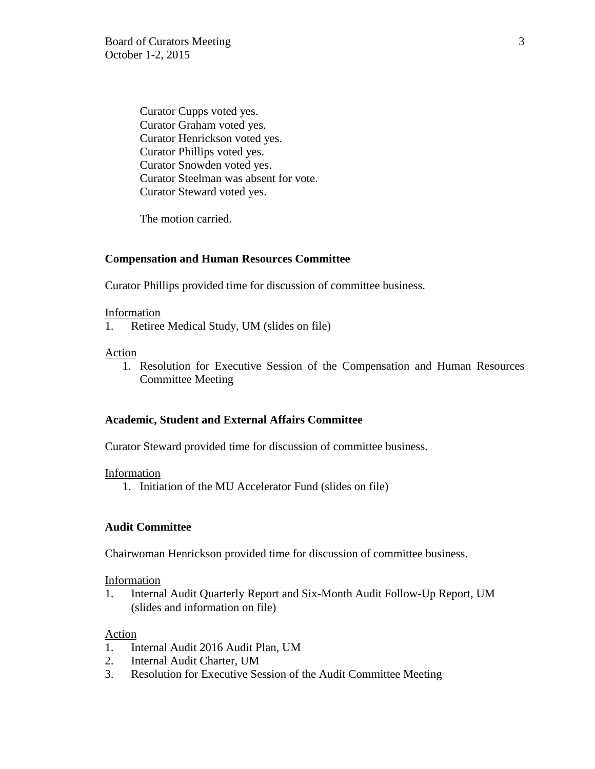Curator Cupps voted yes. Curator Graham voted yes. Curator Henrickson voted yes. Curator Phillips voted yes. Curator Snowden voted yes. Curator Steelman was absent for vote. Curator Steward voted yes.

The motion carried.

# **Compensation and Human Resources Committee**

Curator Phillips provided time for discussion of committee business.

### Information

1. Retiree Medical Study, UM (slides on file)

# Action

1. Resolution for Executive Session of the Compensation and Human Resources Committee Meeting

## **Academic, Student and External Affairs Committee**

Curator Steward provided time for discussion of committee business.

## Information

1. Initiation of the MU Accelerator Fund (slides on file)

## **Audit Committee**

Chairwoman Henrickson provided time for discussion of committee business.

## Information

1. Internal Audit Quarterly Report and Six-Month Audit Follow-Up Report, UM (slides and information on file)

## Action

- 1. Internal Audit 2016 Audit Plan, UM
- 2. Internal Audit Charter, UM
- 3. Resolution for Executive Session of the Audit Committee Meeting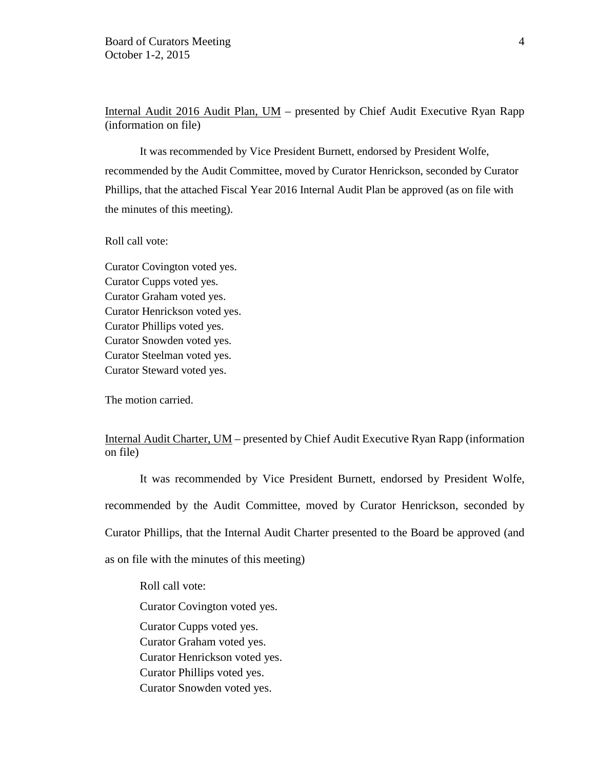Internal Audit 2016 Audit Plan, UM – presented by Chief Audit Executive Ryan Rapp (information on file)

It was recommended by Vice President Burnett, endorsed by President Wolfe, recommended by the Audit Committee, moved by Curator Henrickson, seconded by Curator Phillips, that the attached Fiscal Year 2016 Internal Audit Plan be approved (as on file with the minutes of this meeting).

## Roll call vote:

Curator Covington voted yes. Curator Cupps voted yes. Curator Graham voted yes. Curator Henrickson voted yes. Curator Phillips voted yes. Curator Snowden voted yes. Curator Steelman voted yes. Curator Steward voted yes.

The motion carried.

# Internal Audit Charter, UM – presented by Chief Audit Executive Ryan Rapp (information on file)

It was recommended by Vice President Burnett, endorsed by President Wolfe, recommended by the Audit Committee, moved by Curator Henrickson, seconded by Curator Phillips, that the Internal Audit Charter presented to the Board be approved (and as on file with the minutes of this meeting)

Roll call vote:

Curator Covington voted yes.

Curator Cupps voted yes.

Curator Graham voted yes.

Curator Henrickson voted yes.

Curator Phillips voted yes.

Curator Snowden voted yes.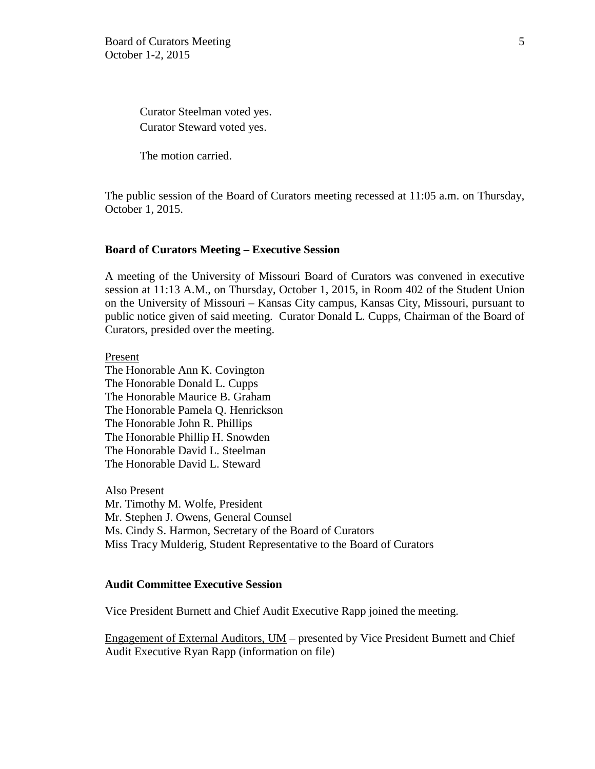Curator Steelman voted yes. Curator Steward voted yes.

The motion carried.

The public session of the Board of Curators meeting recessed at 11:05 a.m. on Thursday, October 1, 2015.

### **Board of Curators Meeting – Executive Session**

A meeting of the University of Missouri Board of Curators was convened in executive session at 11:13 A.M., on Thursday, October 1, 2015, in Room 402 of the Student Union on the University of Missouri – Kansas City campus, Kansas City, Missouri, pursuant to public notice given of said meeting. Curator Donald L. Cupps, Chairman of the Board of Curators, presided over the meeting.

Present

The Honorable Ann K. Covington The Honorable Donald L. Cupps The Honorable Maurice B. Graham The Honorable Pamela Q. Henrickson The Honorable John R. Phillips The Honorable Phillip H. Snowden The Honorable David L. Steelman The Honorable David L. Steward

Also Present Mr. Timothy M. Wolfe, President Mr. Stephen J. Owens, General Counsel Ms. Cindy S. Harmon, Secretary of the Board of Curators Miss Tracy Mulderig, Student Representative to the Board of Curators

## **Audit Committee Executive Session**

Vice President Burnett and Chief Audit Executive Rapp joined the meeting.

Engagement of External Auditors, UM – presented by Vice President Burnett and Chief Audit Executive Ryan Rapp (information on file)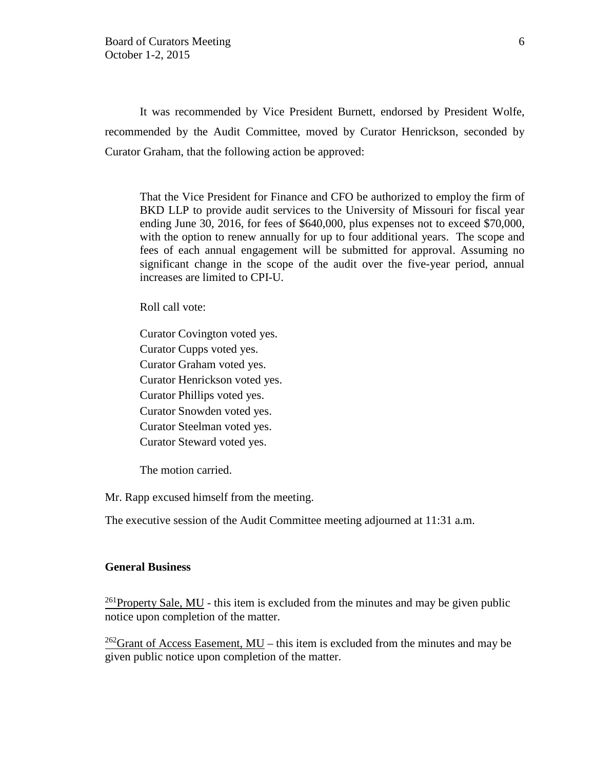It was recommended by Vice President Burnett, endorsed by President Wolfe, recommended by the Audit Committee, moved by Curator Henrickson, seconded by Curator Graham, that the following action be approved:

That the Vice President for Finance and CFO be authorized to employ the firm of BKD LLP to provide audit services to the University of Missouri for fiscal year ending June 30, 2016, for fees of \$640,000, plus expenses not to exceed \$70,000, with the option to renew annually for up to four additional years. The scope and fees of each annual engagement will be submitted for approval. Assuming no significant change in the scope of the audit over the five-year period, annual increases are limited to CPI-U.

Roll call vote:

Curator Covington voted yes. Curator Cupps voted yes. Curator Graham voted yes. Curator Henrickson voted yes. Curator Phillips voted yes. Curator Snowden voted yes. Curator Steelman voted yes. Curator Steward voted yes.

The motion carried.

Mr. Rapp excused himself from the meeting.

The executive session of the Audit Committee meeting adjourned at 11:31 a.m.

### **General Business**

<sup>261</sup>Property Sale, MU - this item is excluded from the minutes and may be given public notice upon completion of the matter.

<sup>262</sup>Grant of Access Easement, MU – this item is excluded from the minutes and may be given public notice upon completion of the matter.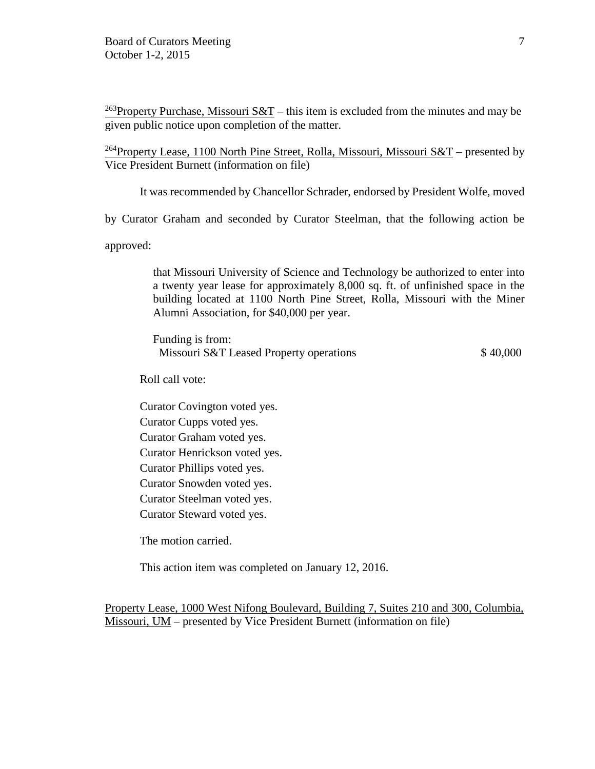<sup>263</sup>Property Purchase, Missouri  $S\&T$  – this item is excluded from the minutes and may be given public notice upon completion of the matter.

<sup>264</sup>Property Lease, 1100 North Pine Street, Rolla, Missouri, Missouri S&T – presented by Vice President Burnett (information on file)

It was recommended by Chancellor Schrader, endorsed by President Wolfe, moved

by Curator Graham and seconded by Curator Steelman, that the following action be

approved:

that Missouri University of Science and Technology be authorized to enter into a twenty year lease for approximately 8,000 sq. ft. of unfinished space in the building located at 1100 North Pine Street, Rolla, Missouri with the Miner Alumni Association, for \$40,000 per year.

Funding is from: Missouri S&T Leased Property operations  $$40,000$ 

Roll call vote:

Curator Covington voted yes. Curator Cupps voted yes. Curator Graham voted yes. Curator Henrickson voted yes. Curator Phillips voted yes. Curator Snowden voted yes. Curator Steelman voted yes. Curator Steward voted yes.

The motion carried.

This action item was completed on January 12, 2016.

Property Lease, 1000 West Nifong Boulevard, Building 7, Suites 210 and 300, Columbia, Missouri, UM – presented by Vice President Burnett (information on file)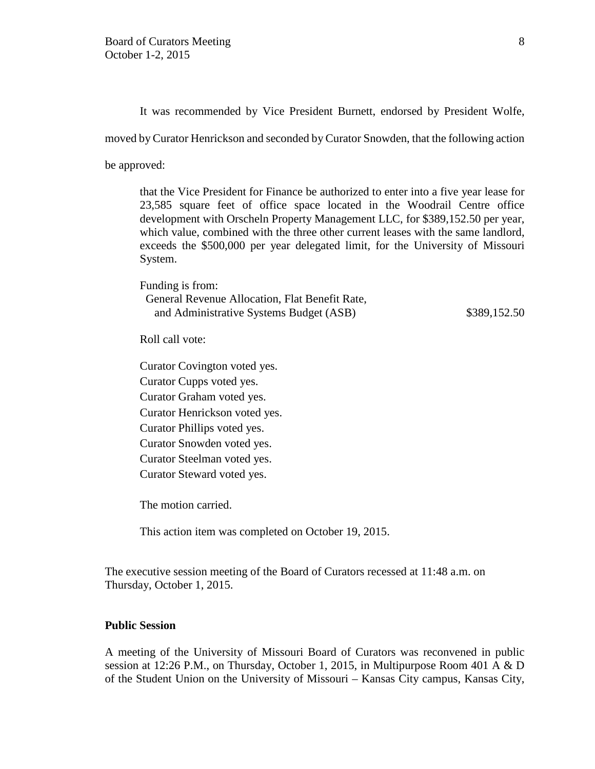It was recommended by Vice President Burnett, endorsed by President Wolfe,

moved by Curator Henrickson and seconded by Curator Snowden, that the following action

be approved:

that the Vice President for Finance be authorized to enter into a five year lease for 23,585 square feet of office space located in the Woodrail Centre office development with Orscheln Property Management LLC, for \$389,152.50 per year, which value, combined with the three other current leases with the same landlord, exceeds the \$500,000 per year delegated limit, for the University of Missouri System.

Funding is from: General Revenue Allocation, Flat Benefit Rate, and Administrative Systems Budget (ASB)  $$389,152.50$ 

Roll call vote:

Curator Covington voted yes. Curator Cupps voted yes. Curator Graham voted yes. Curator Henrickson voted yes. Curator Phillips voted yes. Curator Snowden voted yes. Curator Steelman voted yes. Curator Steward voted yes.

The motion carried.

This action item was completed on October 19, 2015.

The executive session meeting of the Board of Curators recessed at 11:48 a.m. on Thursday, October 1, 2015.

## **Public Session**

A meeting of the University of Missouri Board of Curators was reconvened in public session at 12:26 P.M., on Thursday, October 1, 2015, in Multipurpose Room 401 A & D of the Student Union on the University of Missouri – Kansas City campus, Kansas City,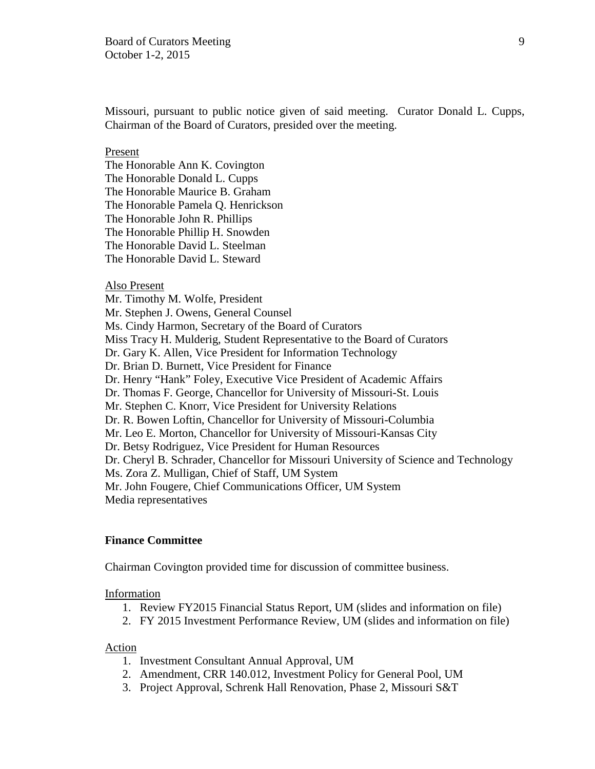Missouri, pursuant to public notice given of said meeting. Curator Donald L. Cupps, Chairman of the Board of Curators, presided over the meeting.

#### Present

The Honorable Ann K. Covington The Honorable Donald L. Cupps The Honorable Maurice B. Graham The Honorable Pamela Q. Henrickson The Honorable John R. Phillips The Honorable Phillip H. Snowden The Honorable David L. Steelman The Honorable David L. Steward

### Also Present

Mr. Timothy M. Wolfe, President Mr. Stephen J. Owens, General Counsel Ms. Cindy Harmon, Secretary of the Board of Curators Miss Tracy H. Mulderig, Student Representative to the Board of Curators Dr. Gary K. Allen, Vice President for Information Technology Dr. Brian D. Burnett, Vice President for Finance Dr. Henry "Hank" Foley, Executive Vice President of Academic Affairs Dr. Thomas F. George, Chancellor for University of Missouri-St. Louis Mr. Stephen C. Knorr, Vice President for University Relations Dr. R. Bowen Loftin, Chancellor for University of Missouri-Columbia Mr. Leo E. Morton, Chancellor for University of Missouri-Kansas City Dr. Betsy Rodriguez, Vice President for Human Resources Dr. Cheryl B. Schrader, Chancellor for Missouri University of Science and Technology Ms. Zora Z. Mulligan, Chief of Staff, UM System Mr. John Fougere, Chief Communications Officer, UM System Media representatives

# **Finance Committee**

Chairman Covington provided time for discussion of committee business.

#### Information

- 1. Review FY2015 Financial Status Report, UM (slides and information on file)
- 2. FY 2015 Investment Performance Review, UM (slides and information on file)

### Action

- 1. Investment Consultant Annual Approval, UM
- 2. Amendment, CRR 140.012, Investment Policy for General Pool, UM
- 3. Project Approval, Schrenk Hall Renovation, Phase 2, Missouri S&T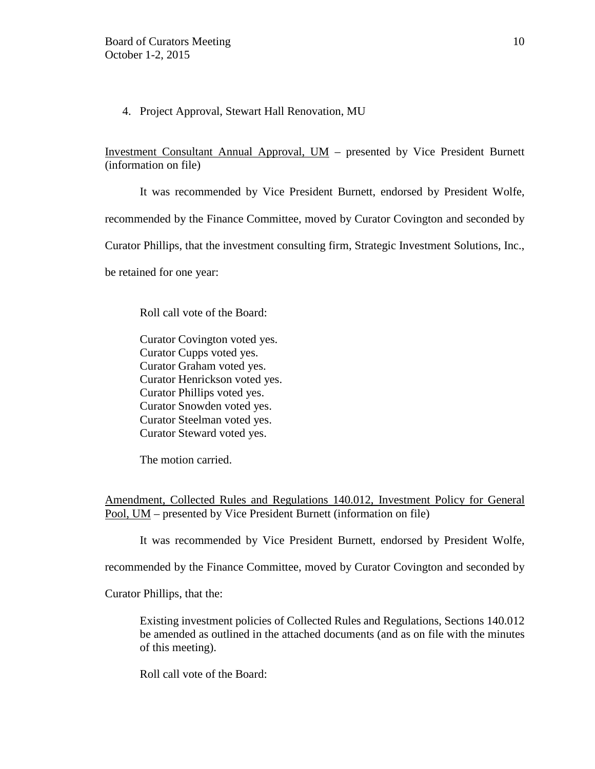4. Project Approval, Stewart Hall Renovation, MU

Investment Consultant Annual Approval, UM – presented by Vice President Burnett (information on file)

It was recommended by Vice President Burnett, endorsed by President Wolfe,

recommended by the Finance Committee, moved by Curator Covington and seconded by

Curator Phillips, that the investment consulting firm, Strategic Investment Solutions, Inc.,

be retained for one year:

Roll call vote of the Board:

Curator Covington voted yes. Curator Cupps voted yes. Curator Graham voted yes. Curator Henrickson voted yes. Curator Phillips voted yes. Curator Snowden voted yes. Curator Steelman voted yes. Curator Steward voted yes.

The motion carried.

Amendment, Collected Rules and Regulations 140.012, Investment Policy for General Pool, UM – presented by Vice President Burnett (information on file)

It was recommended by Vice President Burnett, endorsed by President Wolfe,

recommended by the Finance Committee, moved by Curator Covington and seconded by

Curator Phillips, that the:

Existing investment policies of Collected Rules and Regulations, Sections 140.012 be amended as outlined in the attached documents (and as on file with the minutes of this meeting).

Roll call vote of the Board: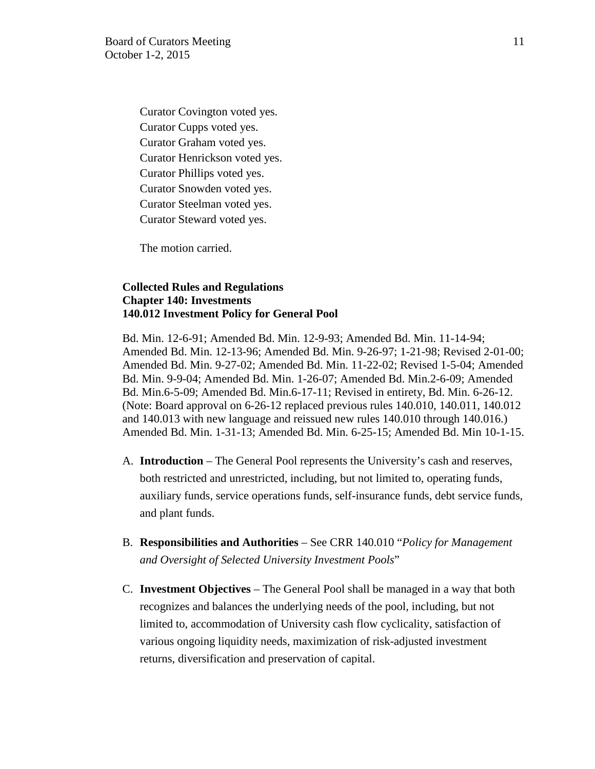Curator Covington voted yes. Curator Cupps voted yes. Curator Graham voted yes. Curator Henrickson voted yes. Curator Phillips voted yes. Curator Snowden voted yes. Curator Steelman voted yes. Curator Steward voted yes.

The motion carried.

# **Collected Rules and Regulations Chapter 140: Investments 140.012 Investment Policy for General Pool**

Bd. Min. 12-6-91; Amended Bd. Min. 12-9-93; Amended Bd. Min. 11-14-94; Amended Bd. Min. 12-13-96; Amended Bd. Min. 9-26-97; 1-21-98; Revised 2-01-00; Amended Bd. Min. 9-27-02; Amended Bd. Min. 11-22-02; Revised 1-5-04; Amended Bd. Min. 9-9-04; Amended Bd. Min. 1-26-07; Amended Bd. Min.2-6-09; Amended Bd. Min.6-5-09; Amended Bd. Min.6-17-11; Revised in entirety, Bd. Min. 6-26-12. (Note: Board approval on 6-26-12 replaced previous rules 140.010, 140.011, 140.012 and 140.013 with new language and reissued new rules 140.010 through 140.016.) Amended Bd. Min. 1-31-13; Amended Bd. Min. 6-25-15; Amended Bd. Min 10-1-15.

- A. **Introduction** The General Pool represents the University's cash and reserves, both restricted and unrestricted, including, but not limited to, operating funds, auxiliary funds, service operations funds, self-insurance funds, debt service funds, and plant funds.
- B. **Responsibilities and Authorities** See CRR 140.010 "*Policy for Management and Oversight of Selected University Investment Pools*"
- C. **Investment Objectives** The General Pool shall be managed in a way that both recognizes and balances the underlying needs of the pool, including, but not limited to, accommodation of University cash flow cyclicality, satisfaction of various ongoing liquidity needs, maximization of risk-adjusted investment returns, diversification and preservation of capital.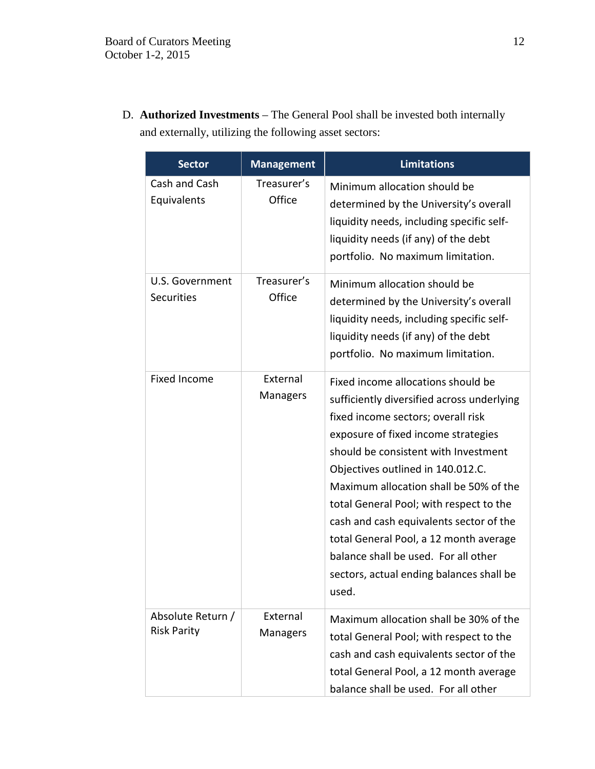D. **Authorized Investments** – The General Pool shall be invested both internally and externally, utilizing the following asset sectors:

| <b>Sector</b>                           | <b>Management</b>     | <b>Limitations</b>                                                                                                                                                                                                                                                                                                                                                                                                                                                                                                |  |
|-----------------------------------------|-----------------------|-------------------------------------------------------------------------------------------------------------------------------------------------------------------------------------------------------------------------------------------------------------------------------------------------------------------------------------------------------------------------------------------------------------------------------------------------------------------------------------------------------------------|--|
| Cash and Cash<br>Equivalents            | Treasurer's<br>Office | Minimum allocation should be<br>determined by the University's overall<br>liquidity needs, including specific self-<br>liquidity needs (if any) of the debt<br>portfolio. No maximum limitation.                                                                                                                                                                                                                                                                                                                  |  |
| U.S. Government<br><b>Securities</b>    | Treasurer's<br>Office | Minimum allocation should be<br>determined by the University's overall<br>liquidity needs, including specific self-<br>liquidity needs (if any) of the debt<br>portfolio. No maximum limitation.                                                                                                                                                                                                                                                                                                                  |  |
| <b>Fixed Income</b>                     | External<br>Managers  | Fixed income allocations should be<br>sufficiently diversified across underlying<br>fixed income sectors; overall risk<br>exposure of fixed income strategies<br>should be consistent with Investment<br>Objectives outlined in 140.012.C.<br>Maximum allocation shall be 50% of the<br>total General Pool; with respect to the<br>cash and cash equivalents sector of the<br>total General Pool, a 12 month average<br>balance shall be used. For all other<br>sectors, actual ending balances shall be<br>used. |  |
| Absolute Return /<br><b>Risk Parity</b> | External<br>Managers  | Maximum allocation shall be 30% of the<br>total General Pool; with respect to the<br>cash and cash equivalents sector of the<br>total General Pool, a 12 month average<br>balance shall be used. For all other                                                                                                                                                                                                                                                                                                    |  |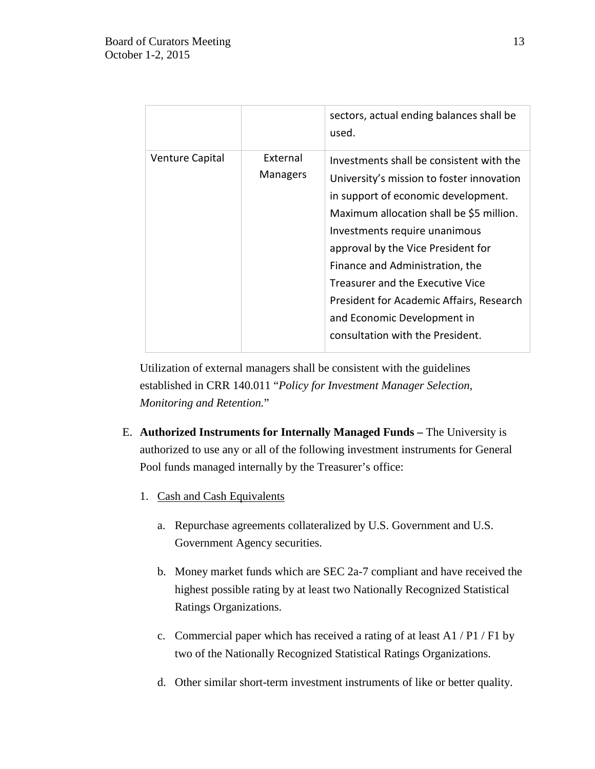|                        |                      | sectors, actual ending balances shall be<br>used.                                                                                                                                                                                                                                                                                                                                                                                     |
|------------------------|----------------------|---------------------------------------------------------------------------------------------------------------------------------------------------------------------------------------------------------------------------------------------------------------------------------------------------------------------------------------------------------------------------------------------------------------------------------------|
| <b>Venture Capital</b> | External<br>Managers | Investments shall be consistent with the<br>University's mission to foster innovation<br>in support of economic development.<br>Maximum allocation shall be \$5 million.<br>Investments require unanimous<br>approval by the Vice President for<br>Finance and Administration, the<br>Treasurer and the Executive Vice<br>President for Academic Affairs, Research<br>and Economic Development in<br>consultation with the President. |

Utilization of external managers shall be consistent with the guidelines established in CRR 140.011 "*Policy for Investment Manager Selection, Monitoring and Retention.*"

- E. **Authorized Instruments for Internally Managed Funds –** The University is authorized to use any or all of the following investment instruments for General Pool funds managed internally by the Treasurer's office:
	- 1. Cash and Cash Equivalents
		- a. Repurchase agreements collateralized by U.S. Government and U.S. Government Agency securities.
		- b. Money market funds which are SEC 2a-7 compliant and have received the highest possible rating by at least two Nationally Recognized Statistical Ratings Organizations.
		- c. Commercial paper which has received a rating of at least A1 / P1 / F1 by two of the Nationally Recognized Statistical Ratings Organizations.
		- d. Other similar short-term investment instruments of like or better quality.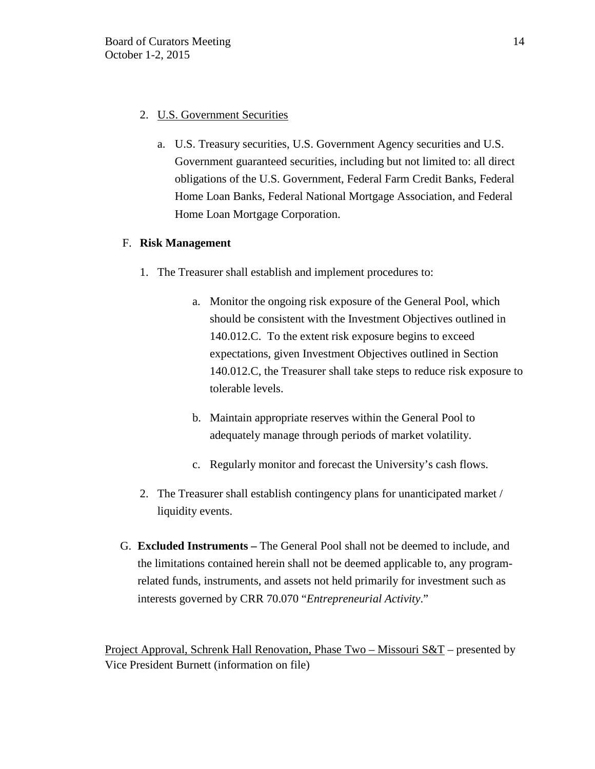# 2. U.S. Government Securities

a. U.S. Treasury securities, U.S. Government Agency securities and U.S. Government guaranteed securities, including but not limited to: all direct obligations of the U.S. Government, Federal Farm Credit Banks, Federal Home Loan Banks, Federal National Mortgage Association, and Federal Home Loan Mortgage Corporation.

# F. **Risk Management**

- 1. The Treasurer shall establish and implement procedures to:
	- a. Monitor the ongoing risk exposure of the General Pool, which should be consistent with the Investment Objectives outlined in 140.012.C. To the extent risk exposure begins to exceed expectations, given Investment Objectives outlined in Section 140.012.C, the Treasurer shall take steps to reduce risk exposure to tolerable levels.
	- b. Maintain appropriate reserves within the General Pool to adequately manage through periods of market volatility.
	- c. Regularly monitor and forecast the University's cash flows.
- 2. The Treasurer shall establish contingency plans for unanticipated market / liquidity events.
- G. **Excluded Instruments –** The General Pool shall not be deemed to include, and the limitations contained herein shall not be deemed applicable to, any programrelated funds, instruments, and assets not held primarily for investment such as interests governed by CRR 70.070 "*Entrepreneurial Activity*."

Project Approval, Schrenk Hall Renovation, Phase Two – Missouri S&T – presented by Vice President Burnett (information on file)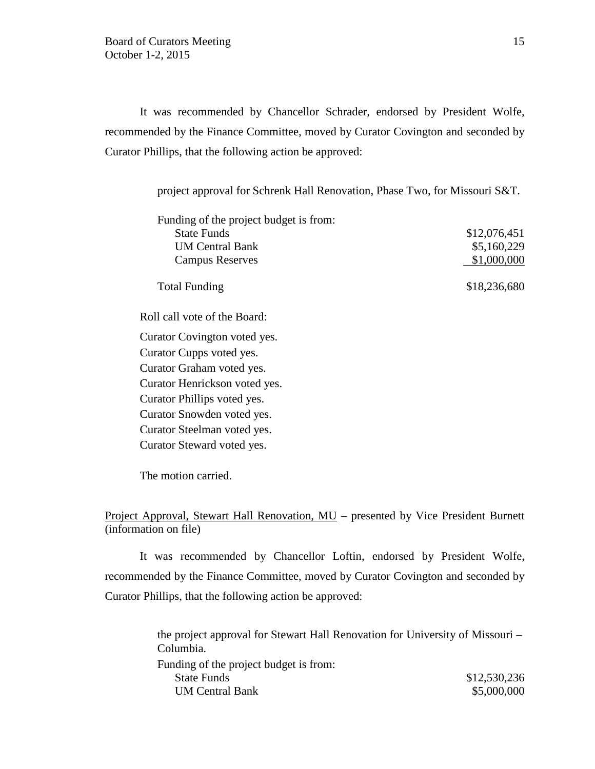It was recommended by Chancellor Schrader, endorsed by President Wolfe, recommended by the Finance Committee, moved by Curator Covington and seconded by Curator Phillips, that the following action be approved:

project approval for Schrenk Hall Renovation, Phase Two, for Missouri S&T.

| Funding of the project budget is from: |              |
|----------------------------------------|--------------|
| <b>State Funds</b>                     | \$12,076,451 |
| <b>UM Central Bank</b>                 | \$5,160,229  |
| <b>Campus Reserves</b>                 | \$1,000,000  |
| <b>Total Funding</b>                   | \$18,236,680 |
| Roll call vote of the Board:           |              |
| Curator Covington voted yes.           |              |
| $C$ unaton $C$ unna viotad vioc        |              |

Curator Cupps voted yes. Curator Graham voted yes. Curator Henrickson voted yes. Curator Phillips voted yes. Curator Snowden voted yes. Curator Steelman voted yes. Curator Steward voted yes.

The motion carried.

Project Approval, Stewart Hall Renovation, MU – presented by Vice President Burnett (information on file)

It was recommended by Chancellor Loftin, endorsed by President Wolfe, recommended by the Finance Committee, moved by Curator Covington and seconded by Curator Phillips, that the following action be approved:

> the project approval for Stewart Hall Renovation for University of Missouri – Columbia. Funding of the project budget is from: State Funds \$12,530,236 UM Central Bank  $$5,000,000$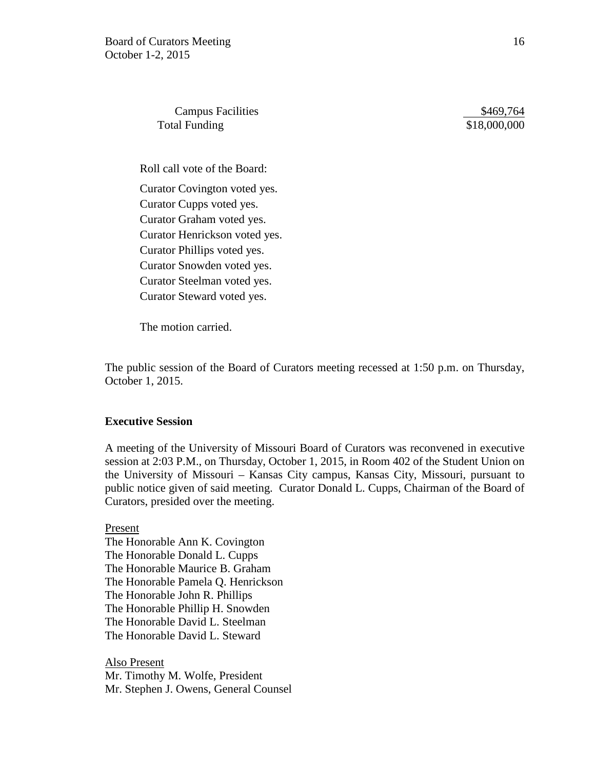Campus Facilities  $$469,764$ Total Funding  $$18,000,000$ 

Roll call vote of the Board: Curator Covington voted yes. Curator Cupps voted yes. Curator Graham voted yes. Curator Henrickson voted yes. Curator Phillips voted yes. Curator Snowden voted yes. Curator Steelman voted yes. Curator Steward voted yes.

The motion carried.

The public session of the Board of Curators meeting recessed at 1:50 p.m. on Thursday, October 1, 2015.

### **Executive Session**

A meeting of the University of Missouri Board of Curators was reconvened in executive session at 2:03 P.M., on Thursday, October 1, 2015, in Room 402 of the Student Union on the University of Missouri – Kansas City campus, Kansas City, Missouri, pursuant to public notice given of said meeting. Curator Donald L. Cupps, Chairman of the Board of Curators, presided over the meeting.

Present The Honorable Ann K. Covington The Honorable Donald L. Cupps The Honorable Maurice B. Graham The Honorable Pamela Q. Henrickson The Honorable John R. Phillips The Honorable Phillip H. Snowden The Honorable David L. Steelman The Honorable David L. Steward

Also Present Mr. Timothy M. Wolfe, President Mr. Stephen J. Owens, General Counsel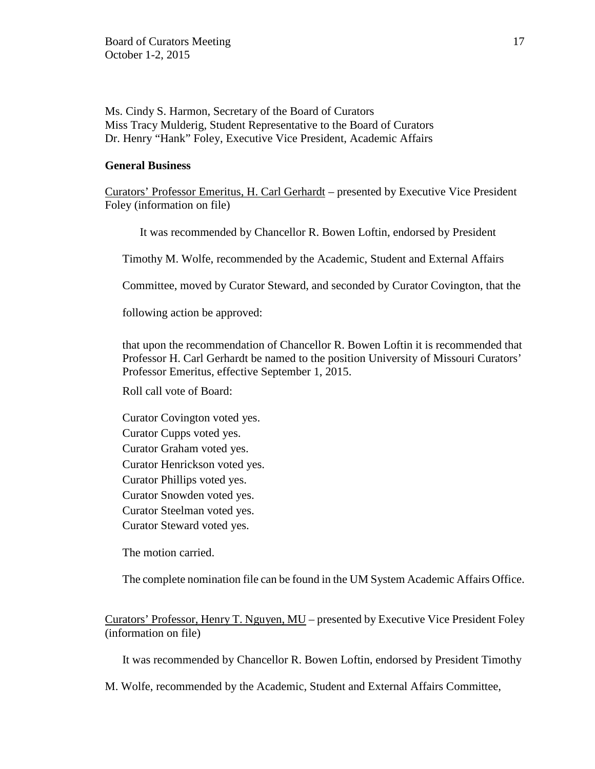Ms. Cindy S. Harmon, Secretary of the Board of Curators Miss Tracy Mulderig, Student Representative to the Board of Curators Dr. Henry "Hank" Foley, Executive Vice President, Academic Affairs

## **General Business**

Curators' Professor Emeritus, H. Carl Gerhardt – presented by Executive Vice President Foley (information on file)

It was recommended by Chancellor R. Bowen Loftin, endorsed by President

Timothy M. Wolfe, recommended by the Academic, Student and External Affairs

Committee, moved by Curator Steward, and seconded by Curator Covington, that the

following action be approved:

that upon the recommendation of Chancellor R. Bowen Loftin it is recommended that Professor H. Carl Gerhardt be named to the position University of Missouri Curators' Professor Emeritus, effective September 1, 2015.

Roll call vote of Board:

Curator Covington voted yes. Curator Cupps voted yes. Curator Graham voted yes. Curator Henrickson voted yes. Curator Phillips voted yes. Curator Snowden voted yes. Curator Steelman voted yes. Curator Steward voted yes.

The motion carried.

The complete nomination file can be found in the UM System Academic Affairs Office.

Curators' Professor, Henry T. Nguyen, MU – presented by Executive Vice President Foley (information on file)

It was recommended by Chancellor R. Bowen Loftin, endorsed by President Timothy

M. Wolfe, recommended by the Academic, Student and External Affairs Committee,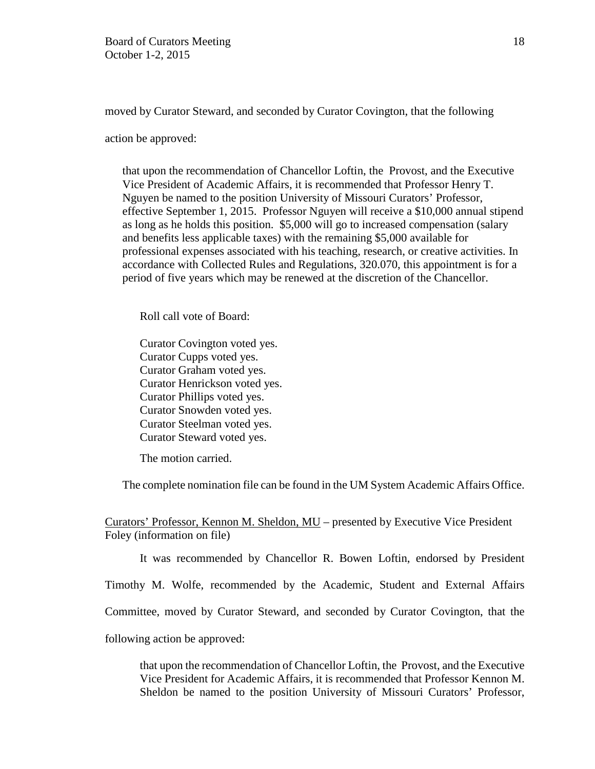moved by Curator Steward, and seconded by Curator Covington, that the following

action be approved:

that upon the recommendation of Chancellor Loftin, the Provost, and the Executive Vice President of Academic Affairs, it is recommended that Professor Henry T. Nguyen be named to the position University of Missouri Curators' Professor, effective September 1, 2015. Professor Nguyen will receive a \$10,000 annual stipend as long as he holds this position. \$5,000 will go to increased compensation (salary and benefits less applicable taxes) with the remaining \$5,000 available for professional expenses associated with his teaching, research, or creative activities. In accordance with Collected Rules and Regulations, 320.070, this appointment is for a period of five years which may be renewed at the discretion of the Chancellor.

Roll call vote of Board:

Curator Covington voted yes. Curator Cupps voted yes. Curator Graham voted yes. Curator Henrickson voted yes. Curator Phillips voted yes. Curator Snowden voted yes. Curator Steelman voted yes. Curator Steward voted yes.

The motion carried.

The complete nomination file can be found in the UM System Academic Affairs Office.

Curators' Professor, Kennon M. Sheldon, MU – presented by Executive Vice President Foley (information on file)

It was recommended by Chancellor R. Bowen Loftin, endorsed by President

Timothy M. Wolfe, recommended by the Academic, Student and External Affairs

Committee, moved by Curator Steward, and seconded by Curator Covington, that the

following action be approved:

that upon the recommendation of Chancellor Loftin, the Provost, and the Executive Vice President for Academic Affairs, it is recommended that Professor Kennon M. Sheldon be named to the position University of Missouri Curators' Professor,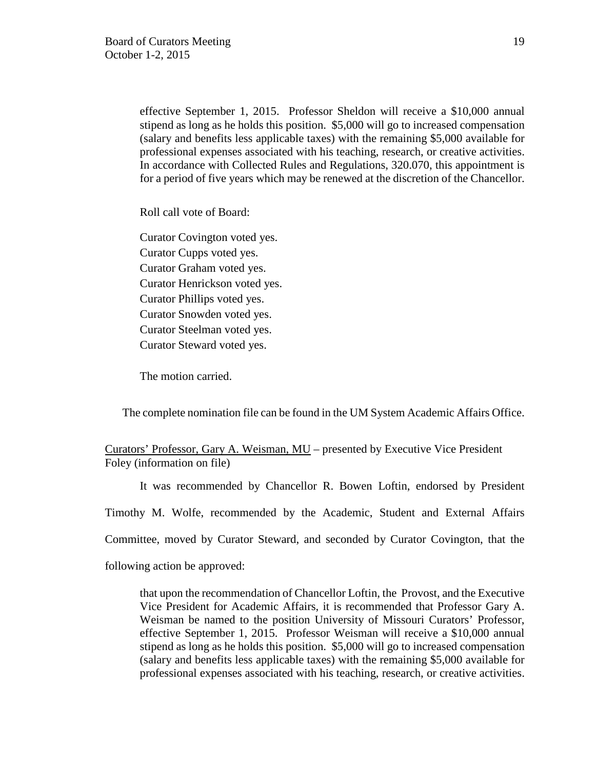effective September 1, 2015. Professor Sheldon will receive a \$10,000 annual stipend as long as he holds this position. \$5,000 will go to increased compensation (salary and benefits less applicable taxes) with the remaining \$5,000 available for professional expenses associated with his teaching, research, or creative activities. In accordance with Collected Rules and Regulations, 320.070, this appointment is for a period of five years which may be renewed at the discretion of the Chancellor.

Roll call vote of Board:

Curator Covington voted yes. Curator Cupps voted yes. Curator Graham voted yes. Curator Henrickson voted yes. Curator Phillips voted yes. Curator Snowden voted yes. Curator Steelman voted yes. Curator Steward voted yes.

The motion carried.

The complete nomination file can be found in the UM System Academic Affairs Office.

Curators' Professor, Gary A. Weisman, MU – presented by Executive Vice President Foley (information on file)

It was recommended by Chancellor R. Bowen Loftin, endorsed by President

Timothy M. Wolfe, recommended by the Academic, Student and External Affairs

Committee, moved by Curator Steward, and seconded by Curator Covington, that the

following action be approved:

that upon the recommendation of Chancellor Loftin, the Provost, and the Executive Vice President for Academic Affairs, it is recommended that Professor Gary A. Weisman be named to the position University of Missouri Curators' Professor, effective September 1, 2015. Professor Weisman will receive a \$10,000 annual stipend as long as he holds this position. \$5,000 will go to increased compensation (salary and benefits less applicable taxes) with the remaining \$5,000 available for professional expenses associated with his teaching, research, or creative activities.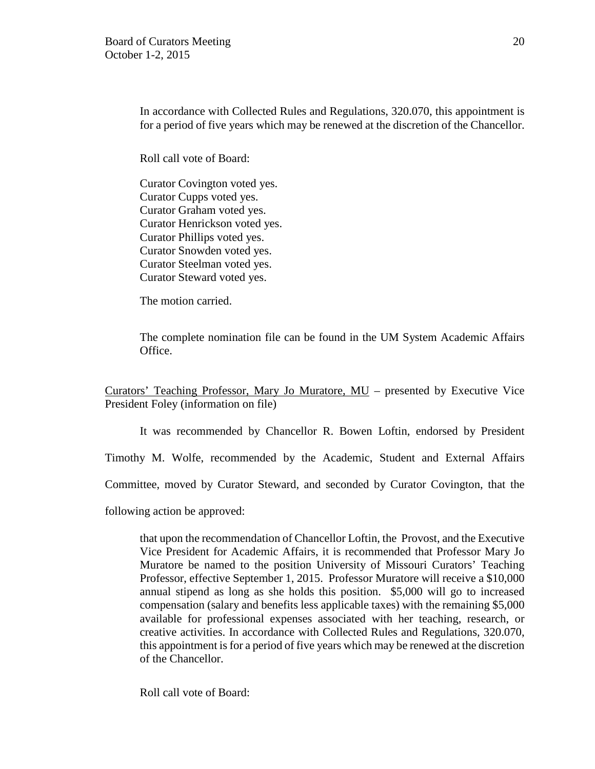In accordance with Collected Rules and Regulations, 320.070, this appointment is for a period of five years which may be renewed at the discretion of the Chancellor.

Roll call vote of Board:

Curator Covington voted yes. Curator Cupps voted yes. Curator Graham voted yes. Curator Henrickson voted yes. Curator Phillips voted yes. Curator Snowden voted yes. Curator Steelman voted yes. Curator Steward voted yes.

The motion carried.

The complete nomination file can be found in the UM System Academic Affairs Office.

Curators' Teaching Professor, Mary Jo Muratore, MU – presented by Executive Vice President Foley (information on file)

It was recommended by Chancellor R. Bowen Loftin, endorsed by President

Timothy M. Wolfe, recommended by the Academic, Student and External Affairs

Committee, moved by Curator Steward, and seconded by Curator Covington, that the

following action be approved:

that upon the recommendation of Chancellor Loftin, the Provost, and the Executive Vice President for Academic Affairs, it is recommended that Professor Mary Jo Muratore be named to the position University of Missouri Curators' Teaching Professor, effective September 1, 2015. Professor Muratore will receive a \$10,000 annual stipend as long as she holds this position. \$5,000 will go to increased compensation (salary and benefits less applicable taxes) with the remaining \$5,000 available for professional expenses associated with her teaching, research, or creative activities. In accordance with Collected Rules and Regulations, 320.070, this appointment is for a period of five years which may be renewed at the discretion of the Chancellor.

Roll call vote of Board: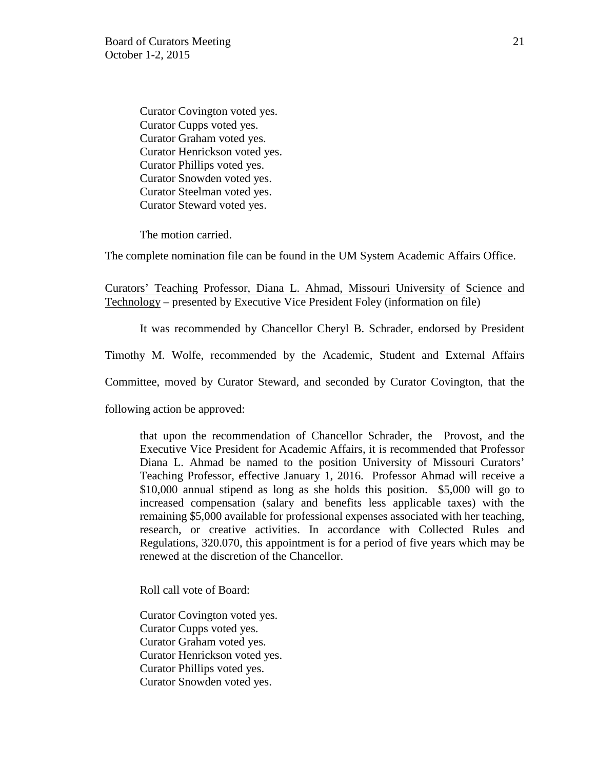Curator Covington voted yes. Curator Cupps voted yes. Curator Graham voted yes. Curator Henrickson voted yes. Curator Phillips voted yes. Curator Snowden voted yes. Curator Steelman voted yes. Curator Steward voted yes.

The motion carried.

The complete nomination file can be found in the UM System Academic Affairs Office.

Curators' Teaching Professor, Diana L. Ahmad, Missouri University of Science and Technology – presented by Executive Vice President Foley (information on file)

It was recommended by Chancellor Cheryl B. Schrader, endorsed by President

Timothy M. Wolfe, recommended by the Academic, Student and External Affairs

Committee, moved by Curator Steward, and seconded by Curator Covington, that the

following action be approved:

that upon the recommendation of Chancellor Schrader, the Provost, and the Executive Vice President for Academic Affairs, it is recommended that Professor Diana L. Ahmad be named to the position University of Missouri Curators' Teaching Professor, effective January 1, 2016. Professor Ahmad will receive a \$10,000 annual stipend as long as she holds this position. \$5,000 will go to increased compensation (salary and benefits less applicable taxes) with the remaining \$5,000 available for professional expenses associated with her teaching, research, or creative activities. In accordance with Collected Rules and Regulations, 320.070, this appointment is for a period of five years which may be renewed at the discretion of the Chancellor.

Roll call vote of Board:

Curator Covington voted yes. Curator Cupps voted yes. Curator Graham voted yes. Curator Henrickson voted yes. Curator Phillips voted yes. Curator Snowden voted yes.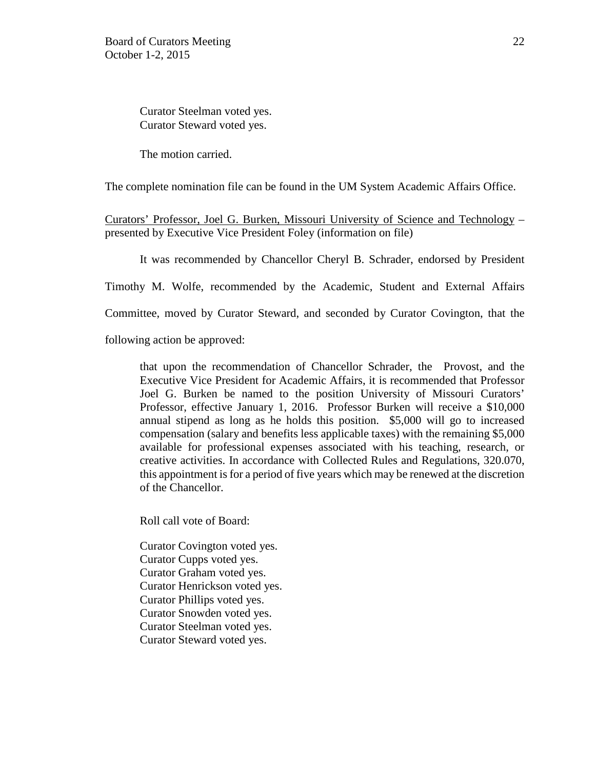Curator Steelman voted yes. Curator Steward voted yes.

The motion carried.

The complete nomination file can be found in the UM System Academic Affairs Office.

Curators' Professor, Joel G. Burken, Missouri University of Science and Technology – presented by Executive Vice President Foley (information on file)

It was recommended by Chancellor Cheryl B. Schrader, endorsed by President

Timothy M. Wolfe, recommended by the Academic, Student and External Affairs

Committee, moved by Curator Steward, and seconded by Curator Covington, that the

following action be approved:

that upon the recommendation of Chancellor Schrader, the Provost, and the Executive Vice President for Academic Affairs, it is recommended that Professor Joel G. Burken be named to the position University of Missouri Curators' Professor, effective January 1, 2016. Professor Burken will receive a \$10,000 annual stipend as long as he holds this position. \$5,000 will go to increased compensation (salary and benefits less applicable taxes) with the remaining \$5,000 available for professional expenses associated with his teaching, research, or creative activities. In accordance with Collected Rules and Regulations, 320.070, this appointment is for a period of five years which may be renewed at the discretion of the Chancellor.

Roll call vote of Board:

Curator Covington voted yes. Curator Cupps voted yes. Curator Graham voted yes. Curator Henrickson voted yes. Curator Phillips voted yes. Curator Snowden voted yes. Curator Steelman voted yes. Curator Steward voted yes.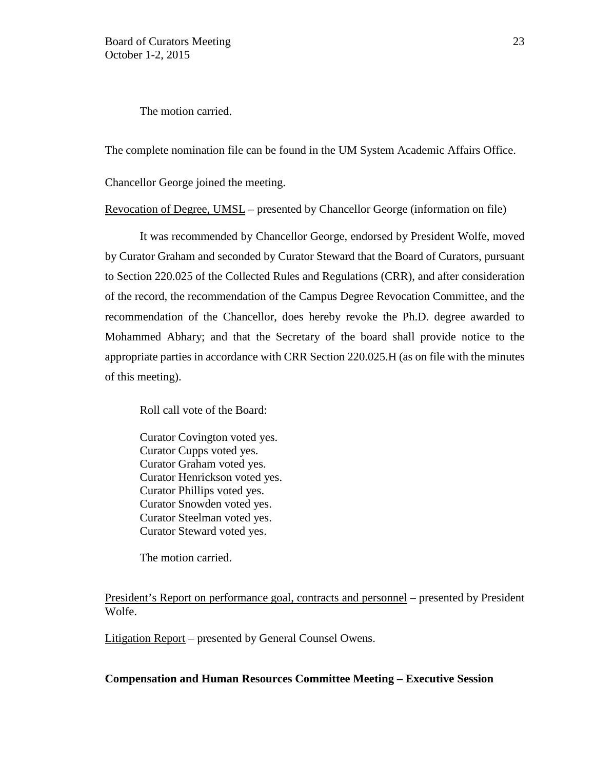The motion carried.

The complete nomination file can be found in the UM System Academic Affairs Office.

Chancellor George joined the meeting.

Revocation of Degree, UMSL – presented by Chancellor George (information on file)

It was recommended by Chancellor George, endorsed by President Wolfe, moved by Curator Graham and seconded by Curator Steward that the Board of Curators, pursuant to Section 220.025 of the Collected Rules and Regulations (CRR), and after consideration of the record, the recommendation of the Campus Degree Revocation Committee, and the recommendation of the Chancellor, does hereby revoke the Ph.D. degree awarded to Mohammed Abhary; and that the Secretary of the board shall provide notice to the appropriate parties in accordance with CRR Section 220.025.H (as on file with the minutes of this meeting).

Roll call vote of the Board:

Curator Covington voted yes. Curator Cupps voted yes. Curator Graham voted yes. Curator Henrickson voted yes. Curator Phillips voted yes. Curator Snowden voted yes. Curator Steelman voted yes. Curator Steward voted yes.

The motion carried.

President's Report on performance goal, contracts and personnel – presented by President Wolfe.

Litigation Report – presented by General Counsel Owens.

# **Compensation and Human Resources Committee Meeting – Executive Session**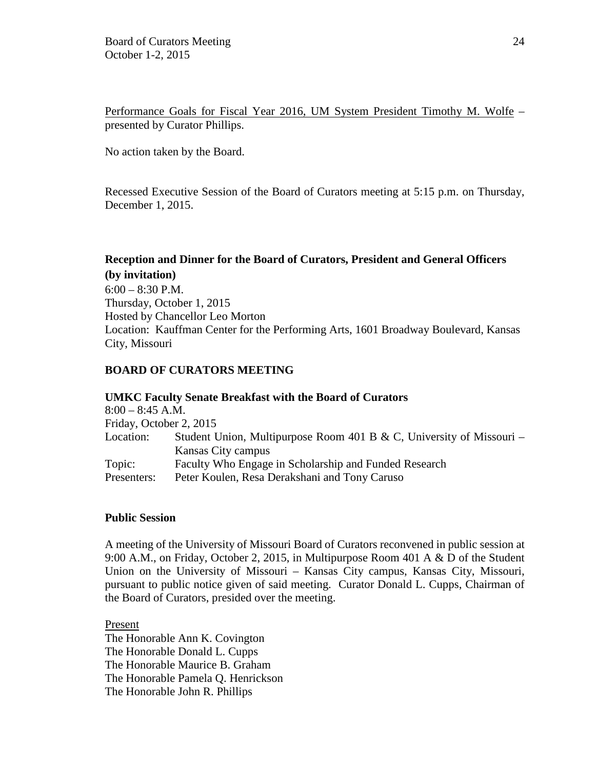Performance Goals for Fiscal Year 2016, UM System President Timothy M. Wolfe – presented by Curator Phillips.

No action taken by the Board.

Recessed Executive Session of the Board of Curators meeting at 5:15 p.m. on Thursday, December 1, 2015.

# **Reception and Dinner for the Board of Curators, President and General Officers (by invitation)**

 $6:00 - 8:30$  P.M. Thursday, October 1, 2015 Hosted by Chancellor Leo Morton Location: Kauffman Center for the Performing Arts, 1601 Broadway Boulevard, Kansas City, Missouri

# **BOARD OF CURATORS MEETING**

|                         | <b>UMKC Faculty Senate Breakfast with the Board of Curators</b>      |
|-------------------------|----------------------------------------------------------------------|
| $8:00 - 8:45$ A.M.      |                                                                      |
| Friday, October 2, 2015 |                                                                      |
| Location:               | Student Union, Multipurpose Room 401 B & C, University of Missouri – |
|                         | Kansas City campus                                                   |
| Topic:                  | Faculty Who Engage in Scholarship and Funded Research                |
| Presenters:             | Peter Koulen, Resa Derakshani and Tony Caruso                        |

# **Public Session**

A meeting of the University of Missouri Board of Curators reconvened in public session at 9:00 A.M., on Friday, October 2, 2015, in Multipurpose Room 401 A & D of the Student Union on the University of Missouri – Kansas City campus, Kansas City, Missouri, pursuant to public notice given of said meeting. Curator Donald L. Cupps, Chairman of the Board of Curators, presided over the meeting.

Present The Honorable Ann K. Covington The Honorable Donald L. Cupps The Honorable Maurice B. Graham The Honorable Pamela Q. Henrickson The Honorable John R. Phillips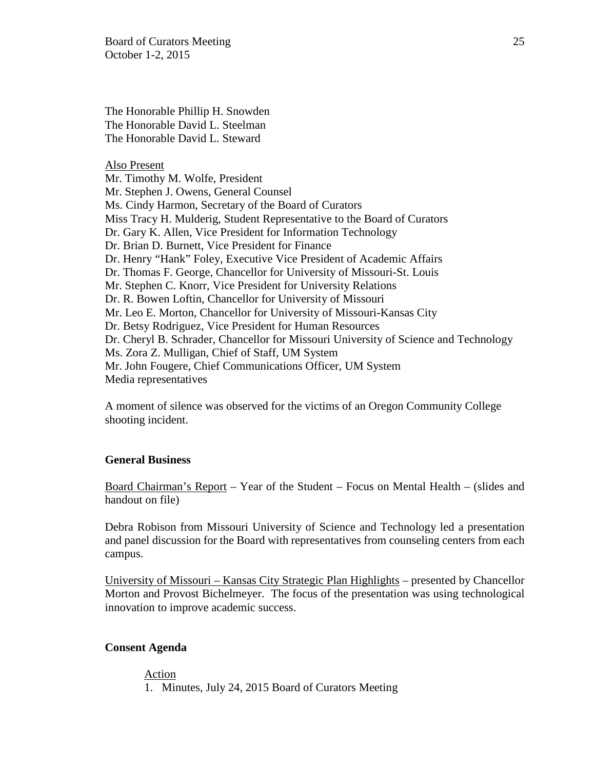Board of Curators Meeting 25 October 1-2, 2015

The Honorable Phillip H. Snowden The Honorable David L. Steelman The Honorable David L. Steward

Also Present

Mr. Timothy M. Wolfe, President Mr. Stephen J. Owens, General Counsel Ms. Cindy Harmon, Secretary of the Board of Curators Miss Tracy H. Mulderig, Student Representative to the Board of Curators Dr. Gary K. Allen, Vice President for Information Technology Dr. Brian D. Burnett, Vice President for Finance Dr. Henry "Hank" Foley, Executive Vice President of Academic Affairs Dr. Thomas F. George, Chancellor for University of Missouri-St. Louis Mr. Stephen C. Knorr, Vice President for University Relations Dr. R. Bowen Loftin, Chancellor for University of Missouri Mr. Leo E. Morton, Chancellor for University of Missouri-Kansas City Dr. Betsy Rodriguez, Vice President for Human Resources Dr. Cheryl B. Schrader, Chancellor for Missouri University of Science and Technology Ms. Zora Z. Mulligan, Chief of Staff, UM System Mr. John Fougere, Chief Communications Officer, UM System Media representatives

A moment of silence was observed for the victims of an Oregon Community College shooting incident.

## **General Business**

Board Chairman's Report – Year of the Student – Focus on Mental Health – (slides and handout on file)

Debra Robison from Missouri University of Science and Technology led a presentation and panel discussion for the Board with representatives from counseling centers from each campus.

University of Missouri – Kansas City Strategic Plan Highlights – presented by Chancellor Morton and Provost Bichelmeyer. The focus of the presentation was using technological innovation to improve academic success.

### **Consent Agenda**

Action 1. Minutes, July 24, 2015 Board of Curators Meeting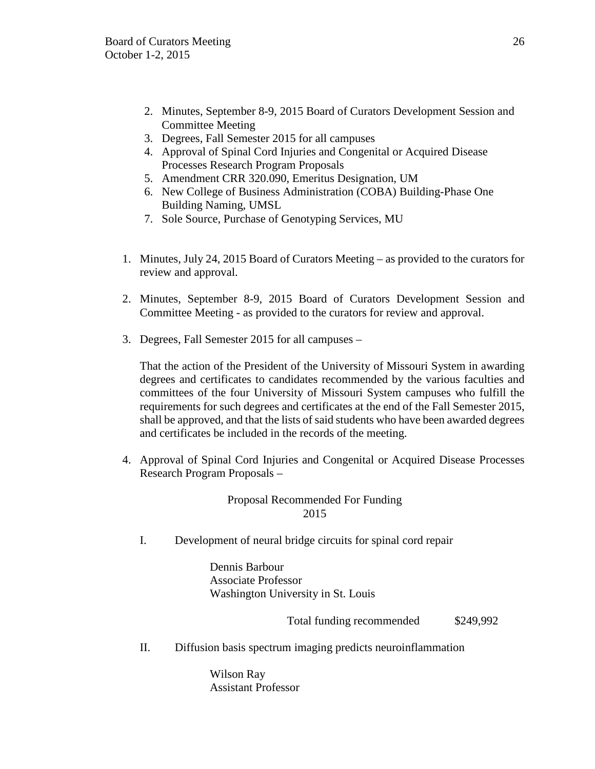- 2. Minutes, September 8-9, 2015 Board of Curators Development Session and Committee Meeting
- 3. Degrees, Fall Semester 2015 for all campuses
- 4. Approval of Spinal Cord Injuries and Congenital or Acquired Disease Processes Research Program Proposals
- 5. Amendment CRR 320.090, Emeritus Designation, UM
- 6. New College of Business Administration (COBA) Building-Phase One Building Naming, UMSL
- 7. Sole Source, Purchase of Genotyping Services, MU
- 1. Minutes, July 24, 2015 Board of Curators Meeting as provided to the curators for review and approval.
- 2. Minutes, September 8-9, 2015 Board of Curators Development Session and Committee Meeting - as provided to the curators for review and approval.
- 3. Degrees, Fall Semester 2015 for all campuses –

That the action of the President of the University of Missouri System in awarding degrees and certificates to candidates recommended by the various faculties and committees of the four University of Missouri System campuses who fulfill the requirements for such degrees and certificates at the end of the Fall Semester 2015, shall be approved, and that the lists of said students who have been awarded degrees and certificates be included in the records of the meeting.

4. Approval of Spinal Cord Injuries and Congenital or Acquired Disease Processes Research Program Proposals –

> Proposal Recommended For Funding 2015

I. Development of neural bridge circuits for spinal cord repair

Dennis Barbour Associate Professor Washington University in St. Louis

Total funding recommended \$249,992

II. Diffusion basis spectrum imaging predicts neuroinflammation

Wilson Ray Assistant Professor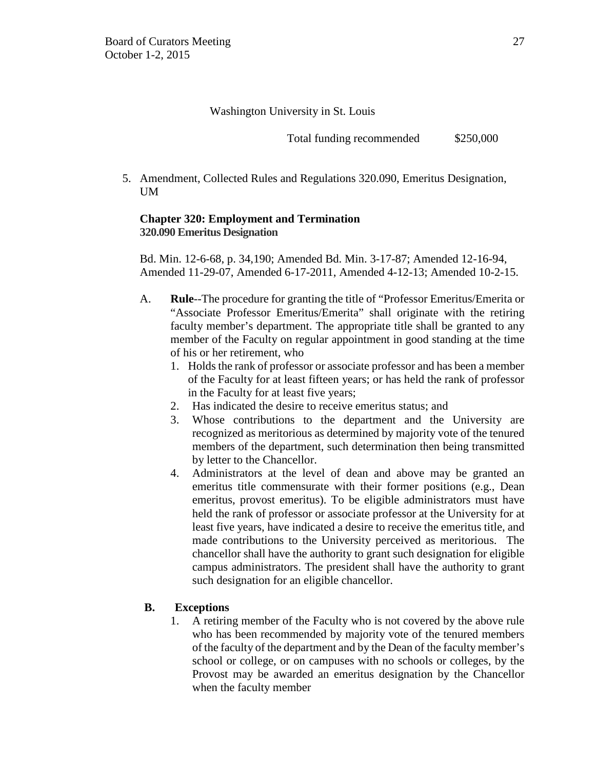Washington University in St. Louis

Total funding recommended  $$250,000$ 

5. Amendment, Collected Rules and Regulations 320.090, Emeritus Designation, UM

# **Chapter 320: Employment and Termination 320.090 Emeritus Designation**

Bd. Min. 12-6-68, p. 34,190; Amended Bd. Min. 3-17-87; Amended 12-16-94, Amended 11-29-07, Amended 6-17-2011, Amended 4-12-13; Amended 10-2-15.

- A. **Rule**--The procedure for granting the title of "Professor Emeritus/Emerita or "Associate Professor Emeritus/Emerita" shall originate with the retiring faculty member's department. The appropriate title shall be granted to any member of the Faculty on regular appointment in good standing at the time of his or her retirement, who
	- 1. Holds the rank of professor or associate professor and has been a member of the Faculty for at least fifteen years; or has held the rank of professor in the Faculty for at least five years;
	- 2. Has indicated the desire to receive emeritus status; and
	- 3. Whose contributions to the department and the University are recognized as meritorious as determined by majority vote of the tenured members of the department, such determination then being transmitted by letter to the Chancellor.
	- 4. Administrators at the level of dean and above may be granted an emeritus title commensurate with their former positions (e.g., Dean emeritus, provost emeritus). To be eligible administrators must have held the rank of professor or associate professor at the University for at least five years, have indicated a desire to receive the emeritus title, and made contributions to the University perceived as meritorious. The chancellor shall have the authority to grant such designation for eligible campus administrators. The president shall have the authority to grant such designation for an eligible chancellor.

# **B. Exceptions**

1. A retiring member of the Faculty who is not covered by the above rule who has been recommended by majority vote of the tenured members of the faculty of the department and by the Dean of the faculty member's school or college, or on campuses with no schools or colleges, by the Provost may be awarded an emeritus designation by the Chancellor when the faculty member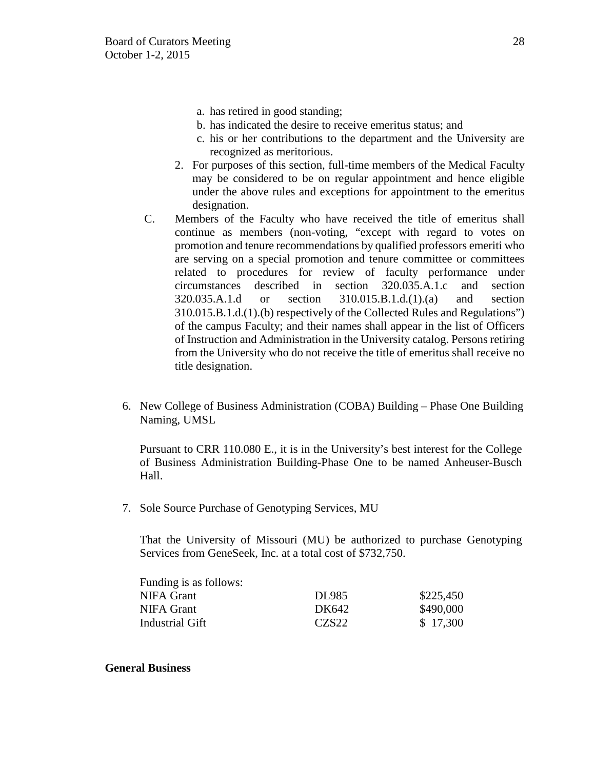- a. has retired in good standing;
- b. has indicated the desire to receive emeritus status; and
- c. his or her contributions to the department and the University are recognized as meritorious.
- 2. For purposes of this section, full-time members of the Medical Faculty may be considered to be on regular appointment and hence eligible under the above rules and exceptions for appointment to the emeritus designation.
- C. Members of the Faculty who have received the title of emeritus shall continue as members (non-voting, "except with regard to votes on promotion and tenure recommendations by qualified professors emeriti who are serving on a special promotion and tenure committee or committees related to procedures for review of faculty performance under circumstances described in section 320.035.A.1.c and section 320.035.A.1.d or section 310.015.B.1.d.(1).(a) and section 310.015.B.1.d.(1).(b) respectively of the Collected Rules and Regulations") of the campus Faculty; and their names shall appear in the list of Officers of Instruction and Administration in the University catalog. Persons retiring from the University who do not receive the title of emeritus shall receive no title designation.
- 6. New College of Business Administration (COBA) Building Phase One Building Naming, UMSL

Pursuant to CRR 110.080 E., it is in the University's best interest for the College of Business Administration Building-Phase One to be named Anheuser-Busch Hall.

7. Sole Source Purchase of Genotyping Services, MU

That the University of Missouri (MU) be authorized to purchase Genotyping Services from GeneSeek, Inc. at a total cost of \$732,750.

| DL985             | \$225,450 |
|-------------------|-----------|
| DK642             | \$490,000 |
| CZS <sub>22</sub> | \$17,300  |
|                   |           |

# **General Business**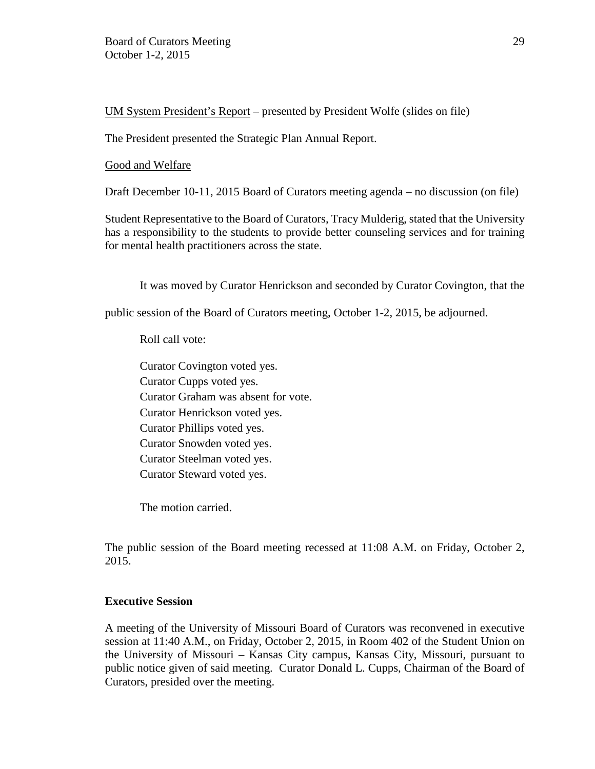UM System President's Report – presented by President Wolfe (slides on file)

The President presented the Strategic Plan Annual Report.

# Good and Welfare

Draft December 10-11, 2015 Board of Curators meeting agenda – no discussion (on file)

Student Representative to the Board of Curators, Tracy Mulderig, stated that the University has a responsibility to the students to provide better counseling services and for training for mental health practitioners across the state.

It was moved by Curator Henrickson and seconded by Curator Covington, that the

public session of the Board of Curators meeting, October 1-2, 2015, be adjourned.

Roll call vote:

Curator Covington voted yes. Curator Cupps voted yes. Curator Graham was absent for vote. Curator Henrickson voted yes. Curator Phillips voted yes. Curator Snowden voted yes. Curator Steelman voted yes. Curator Steward voted yes.

The motion carried.

The public session of the Board meeting recessed at 11:08 A.M. on Friday, October 2, 2015.

# **Executive Session**

A meeting of the University of Missouri Board of Curators was reconvened in executive session at 11:40 A.M., on Friday, October 2, 2015, in Room 402 of the Student Union on the University of Missouri – Kansas City campus, Kansas City, Missouri, pursuant to public notice given of said meeting. Curator Donald L. Cupps, Chairman of the Board of Curators, presided over the meeting.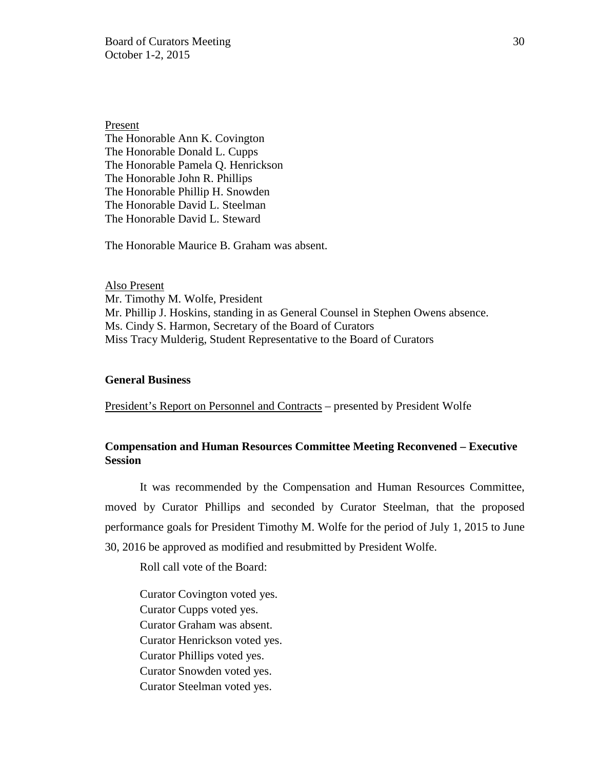Board of Curators Meeting 30 October 1-2, 2015

Present The Honorable Ann K. Covington The Honorable Donald L. Cupps The Honorable Pamela Q. Henrickson The Honorable John R. Phillips The Honorable Phillip H. Snowden The Honorable David L. Steelman The Honorable David L. Steward

The Honorable Maurice B. Graham was absent.

Also Present Mr. Timothy M. Wolfe, President Mr. Phillip J. Hoskins, standing in as General Counsel in Stephen Owens absence. Ms. Cindy S. Harmon, Secretary of the Board of Curators Miss Tracy Mulderig, Student Representative to the Board of Curators

### **General Business**

President's Report on Personnel and Contracts – presented by President Wolfe

# **Compensation and Human Resources Committee Meeting Reconvened – Executive Session**

It was recommended by the Compensation and Human Resources Committee, moved by Curator Phillips and seconded by Curator Steelman, that the proposed performance goals for President Timothy M. Wolfe for the period of July 1, 2015 to June 30, 2016 be approved as modified and resubmitted by President Wolfe.

Roll call vote of the Board:

Curator Covington voted yes. Curator Cupps voted yes. Curator Graham was absent. Curator Henrickson voted yes. Curator Phillips voted yes. Curator Snowden voted yes. Curator Steelman voted yes.